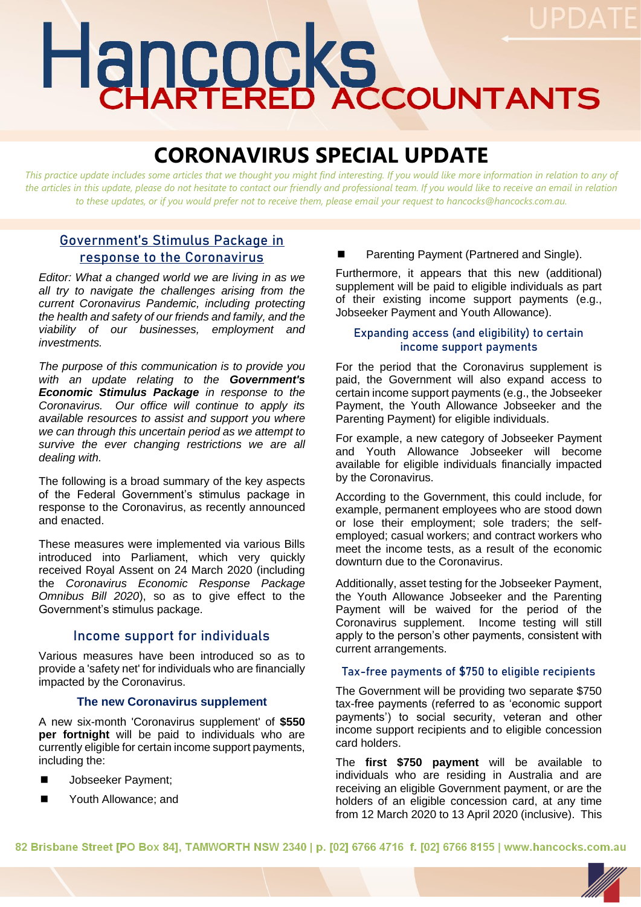# Hancocks

# **CORONAVIRUS SPECIAL UPDATE**

This practice update includes some articles that we thought you might find interesting. If you would like more information in relation to any of *the articles in this update, please do not hesitate to contact our friendly and professional team. If you would like to receive an email in relation to these updates, or if you would prefer not to receive them, please email your request to hancocks@hancocks.com.au.* 

# Government's Stimulus Package in response to the Coronavirus

*Editor: What a changed world we are living in as we all try to navigate the challenges arising from the current Coronavirus Pandemic, including protecting the health and safety of our friends and family, and the viability of our businesses, employment and investments.* 

*The purpose of this communication is to provide you with an update relating to the Government's Economic Stimulus Package in response to the Coronavirus. Our office will continue to apply its available resources to assist and support you where we can through this uncertain period as we attempt to survive the ever changing restrictions we are all dealing with.*

The following is a broad summary of the key aspects of the Federal Government's stimulus package in response to the Coronavirus, as recently announced and enacted.

These measures were implemented via various Bills introduced into Parliament, which very quickly received Royal Assent on 24 March 2020 (including the *Coronavirus Economic Response Package Omnibus Bill 2020*), so as to give effect to the Government's stimulus package.

# Income support for individuals

Various measures have been introduced so as to provide a 'safety net' for individuals who are financially impacted by the Coronavirus.

# **The new Coronavirus supplement**

A new six-month 'Coronavirus supplement' of **\$550 per fortnight** will be paid to individuals who are currently eligible for certain income support payments, including the:

- Jobseeker Payment;
- Youth Allowance; and

Parenting Payment (Partnered and Single).

Furthermore, it appears that this new (additional) supplement will be paid to eligible individuals as part of their existing income support payments (e.g., Jobseeker Payment and Youth Allowance).

# Expanding access (and eligibility) to certain income support payments

For the period that the Coronavirus supplement is paid, the Government will also expand access to certain income support payments (e.g., the Jobseeker Payment, the Youth Allowance Jobseeker and the Parenting Payment) for eligible individuals.

For example, a new category of Jobseeker Payment and Youth Allowance Jobseeker will become available for eligible individuals financially impacted by the Coronavirus.

According to the Government, this could include, for example, permanent employees who are stood down or lose their employment; sole traders; the selfemployed; casual workers; and contract workers who meet the income tests, as a result of the economic downturn due to the Coronavirus.

Additionally, asset testing for the Jobseeker Payment, the Youth Allowance Jobseeker and the Parenting Payment will be waived for the period of the Coronavirus supplement. Income testing will still apply to the person's other payments, consistent with current arrangements.

# Tax-free payments of \$750 to eligible recipients

The Government will be providing two separate \$750 tax-free payments (referred to as 'economic support payments') to social security, veteran and other income support recipients and to eligible concession card holders.

The **first \$750 payment** will be available to individuals who are residing in Australia and are receiving an eligible Government payment, or are the holders of an eligible concession card, at any time from 12 March 2020 to 13 April 2020 (inclusive). This

82 Brisbane Street IPO Box 841, TAMWORTH NSW 2340 | p. [02] 6766 4716 f. [02] 6766 8155 | www.hancocks.com.au

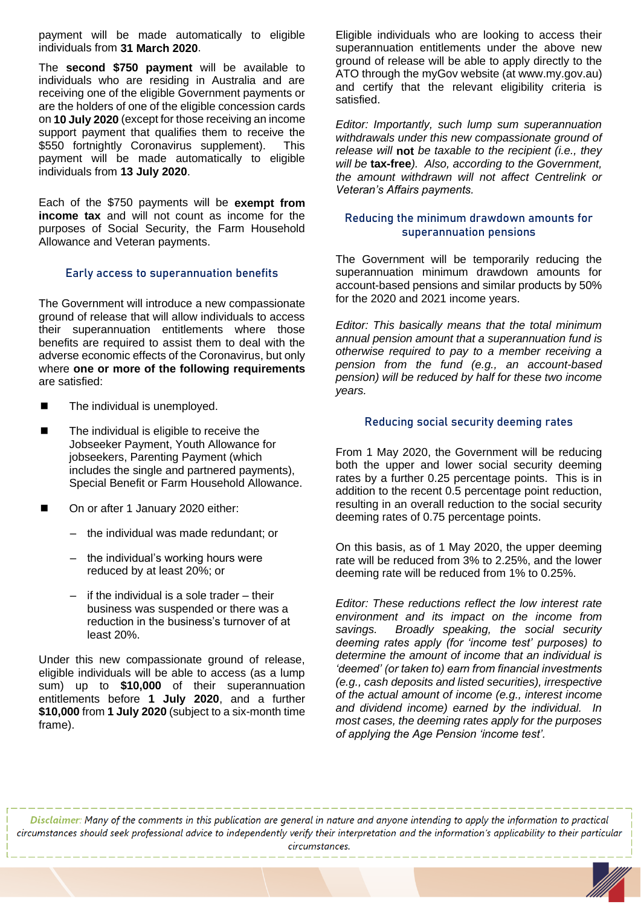payment will be made automatically to eligible individuals from **31 March 2020**.

The **second \$750 payment** will be available to individuals who are residing in Australia and are receiving one of the eligible Government payments or are the holders of one of the eligible concession cards on **10 July 2020** (except for those receiving an income support payment that qualifies them to receive the \$550 fortnightly Coronavirus supplement). This payment will be made automatically to eligible individuals from **13 July 2020**.

Each of the \$750 payments will be **exempt from income tax** and will not count as income for the purposes of Social Security, the Farm Household Allowance and Veteran payments.

#### Early access to superannuation benefits

The Government will introduce a new compassionate ground of release that will allow individuals to access their superannuation entitlements where those benefits are required to assist them to deal with the adverse economic effects of the Coronavirus, but only where **one or more of the following requirements** are satisfied:

- The individual is unemployed.
- The individual is eligible to receive the Jobseeker Payment, Youth Allowance for jobseekers, Parenting Payment (which includes the single and partnered payments), Special Benefit or Farm Household Allowance.
- On or after 1 January 2020 either:
	- the individual was made redundant; or
	- the individual's working hours were reduced by at least 20%; or
	- $-$  if the individual is a sole trader  $-$  their business was suspended or there was a reduction in the business's turnover of at least 20%.

Under this new compassionate ground of release, eligible individuals will be able to access (as a lump sum) up to **\$10,000** of their superannuation entitlements before **1 July 2020**, and a further **\$10,000** from **1 July 2020** (subject to a six-month time frame).

Eligible individuals who are looking to access their superannuation entitlements under the above new ground of release will be able to apply directly to the ATO through the myGov website (at www.my.gov.au) and certify that the relevant eligibility criteria is satisfied.

*Editor: Importantly, such lump sum superannuation withdrawals under this new compassionate ground of release will* **not** *be taxable to the recipient (i.e., they will be* **tax-free***). Also, according to the Government, the amount withdrawn will not affect Centrelink or Veteran's Affairs payments.* 

### Reducing the minimum drawdown amounts for superannuation pensions

The Government will be temporarily reducing the superannuation minimum drawdown amounts for account-based pensions and similar products by 50% for the 2020 and 2021 income years.

*Editor: This basically means that the total minimum annual pension amount that a superannuation fund is otherwise required to pay to a member receiving a pension from the fund (e.g., an account-based pension) will be reduced by half for these two income years.* 

#### Reducing social security deeming rates

From 1 May 2020, the Government will be reducing both the upper and lower social security deeming rates by a further 0.25 percentage points. This is in addition to the recent 0.5 percentage point reduction, resulting in an overall reduction to the social security deeming rates of 0.75 percentage points.

On this basis, as of 1 May 2020, the upper deeming rate will be reduced from 3% to 2.25%, and the lower deeming rate will be reduced from 1% to 0.25%.

*Editor: These reductions reflect the low interest rate environment and its impact on the income from savings. Broadly speaking, the social security deeming rates apply (for 'income test' purposes) to determine the amount of income that an individual is 'deemed' (or taken to) earn from financial investments (e.g., cash deposits and listed securities), irrespective of the actual amount of income (e.g., interest income and dividend income) earned by the individual. In most cases, the deeming rates apply for the purposes of applying the Age Pension 'income test'.* 

Disclaimer: Many of the comments in this publication are general in nature and anyone intending to apply the information to practical circumstances should seek professional advice to independently verify their interpretation and the information's applicability to their particular circumstances.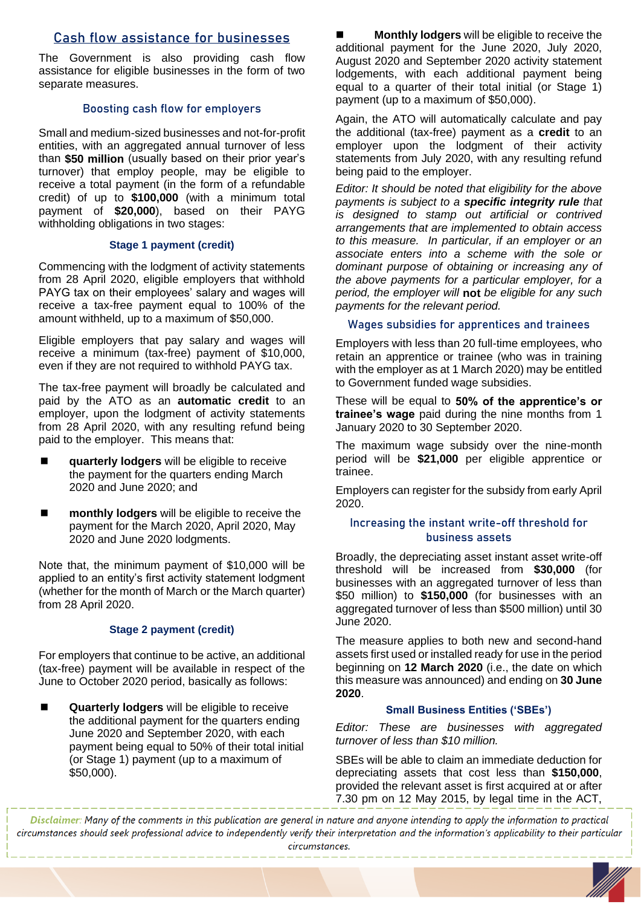# Cash flow assistance for businesses

The Government is also providing cash flow assistance for eligible businesses in the form of two separate measures.

# Boosting cash flow for employers

Small and medium-sized businesses and not-for-profit entities, with an aggregated annual turnover of less than **\$50 million** (usually based on their prior year's turnover) that employ people, may be eligible to receive a total payment (in the form of a refundable credit) of up to **\$100,000** (with a minimum total payment of **\$20,000**), based on their PAYG withholding obligations in two stages:

#### **Stage 1 payment (credit)**

Commencing with the lodgment of activity statements from 28 April 2020, eligible employers that withhold PAYG tax on their employees' salary and wages will receive a tax-free payment equal to 100% of the amount withheld, up to a maximum of \$50,000.

Eligible employers that pay salary and wages will receive a minimum (tax-free) payment of \$10,000, even if they are not required to withhold PAYG tax.

The tax-free payment will broadly be calculated and paid by the ATO as an **automatic credit** to an employer, upon the lodgment of activity statements from 28 April 2020, with any resulting refund being paid to the employer. This means that:

- ◼ **quarterly lodgers** will be eligible to receive the payment for the quarters ending March 2020 and June 2020; and
- **monthly lodgers** will be eligible to receive the payment for the March 2020, April 2020, May 2020 and June 2020 lodgments.

Note that, the minimum payment of \$10,000 will be applied to an entity's first activity statement lodgment (whether for the month of March or the March quarter) from 28 April 2020.

#### **Stage 2 payment (credit)**

For employers that continue to be active, an additional (tax-free) payment will be available in respect of the June to October 2020 period, basically as follows:

**Quarterly lodgers** will be eligible to receive the additional payment for the quarters ending June 2020 and September 2020, with each payment being equal to 50% of their total initial (or Stage 1) payment (up to a maximum of  $$50,000$ ).

**Monthly lodgers** will be eligible to receive the additional payment for the June 2020, July 2020, August 2020 and September 2020 activity statement lodgements, with each additional payment being equal to a quarter of their total initial (or Stage 1) payment (up to a maximum of \$50,000).

Again, the ATO will automatically calculate and pay the additional (tax-free) payment as a **credit** to an employer upon the lodgment of their activity statements from July 2020, with any resulting refund being paid to the employer.

*Editor: It should be noted that eligibility for the above payments is subject to a specific integrity rule that is designed to stamp out artificial or contrived arrangements that are implemented to obtain access to this measure. In particular, if an employer or an associate enters into a scheme with the sole or dominant purpose of obtaining or increasing any of the above payments for a particular employer, for a period, the employer will* **not** *be eligible for any such payments for the relevant period.*

# Wages subsidies for apprentices and trainees

Employers with less than 20 full-time employees, who retain an apprentice or trainee (who was in training with the employer as at 1 March 2020) may be entitled to Government funded wage subsidies.

These will be equal to **50% of the apprentice's or trainee's wage** paid during the nine months from 1 January 2020 to 30 September 2020.

The maximum wage subsidy over the nine-month period will be **\$21,000** per eligible apprentice or trainee.

Employers can register for the subsidy from early April 2020.

# Increasing the instant write-off threshold for business assets

Broadly, the depreciating asset instant asset write-off threshold will be increased from **\$30,000** (for businesses with an aggregated turnover of less than \$50 million) to **\$150,000** (for businesses with an aggregated turnover of less than \$500 million) until 30 June 2020.

The measure applies to both new and second-hand assets first used or installed ready for use in the period beginning on **12 March 2020** (i.e., the date on which this measure was announced) and ending on **30 June 2020**.

# **Small Business Entities ('SBEs')**

*Editor: These are businesses with aggregated turnover of less than \$10 million.*

SBEs will be able to claim an immediate deduction for depreciating assets that cost less than **\$150,000**, provided the relevant asset is first acquired at or after 7.30 pm on 12 May 2015, by legal time in the ACT,

Disclaimer: Many of the comments in this publication are general in nature and anyone intending to apply the information to practical circumstances should seek professional advice to independently verify their interpretation and the information's applicability to their particular circumstances.